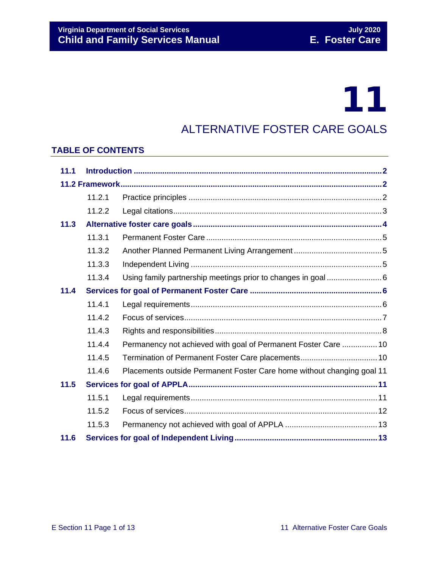# 11

### ALTERNATIVE FOSTER CARE GOALS

#### **TABLE OF CONTENTS**

| 11.1 |        |                                                                        |  |
|------|--------|------------------------------------------------------------------------|--|
|      |        |                                                                        |  |
|      | 11.2.1 |                                                                        |  |
|      | 11.2.2 |                                                                        |  |
| 11.3 |        |                                                                        |  |
|      | 11.3.1 |                                                                        |  |
|      | 11.3.2 |                                                                        |  |
|      | 11.3.3 |                                                                        |  |
|      | 11.3.4 |                                                                        |  |
| 11.4 |        |                                                                        |  |
|      | 11.4.1 |                                                                        |  |
|      | 11.4.2 |                                                                        |  |
|      | 11.4.3 |                                                                        |  |
|      | 11.4.4 | Permanency not achieved with goal of Permanent Foster Care  10         |  |
|      | 11.4.5 | Termination of Permanent Foster Care placements 10                     |  |
|      | 11.4.6 | Placements outside Permanent Foster Care home without changing goal 11 |  |
| 11.5 |        |                                                                        |  |
|      | 11.5.1 |                                                                        |  |
|      | 11.5.2 |                                                                        |  |
|      | 11.5.3 |                                                                        |  |
| 11.6 |        |                                                                        |  |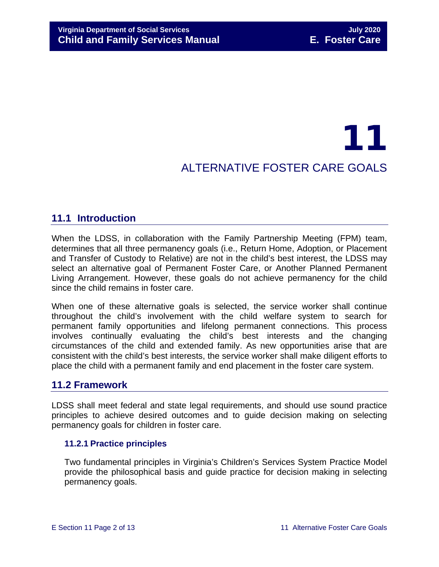## 11 ALTERNATIVE FOSTER CARE GOALS

#### <span id="page-1-0"></span>**11.1 Introduction**

When the LDSS, in collaboration with the Family Partnership Meeting (FPM) team, determines that all three permanency goals (i.e., Return Home, Adoption, or Placement and Transfer of Custody to Relative) are not in the child's best interest, the LDSS may select an alternative goal of Permanent Foster Care, or Another Planned Permanent Living Arrangement. However, these goals do not achieve permanency for the child since the child remains in foster care.

When one of these alternative goals is selected, the service worker shall continue throughout the child's involvement with the child welfare system to search for permanent family opportunities and lifelong permanent connections. This process involves continually evaluating the child's best interests and the changing circumstances of the child and extended family. As new opportunities arise that are consistent with the child's best interests, the service worker shall make diligent efforts to place the child with a permanent family and end placement in the foster care system.

#### <span id="page-1-1"></span>**11.2 Framework**

LDSS shall meet federal and state legal requirements, and should use sound practice principles to achieve desired outcomes and to guide decision making on selecting permanency goals for children in foster care.

#### <span id="page-1-2"></span>**11.2.1 Practice principles**

Two fundamental principles in Virginia's Children's Services System Practice Model provide the philosophical basis and guide practice for decision making in selecting permanency goals.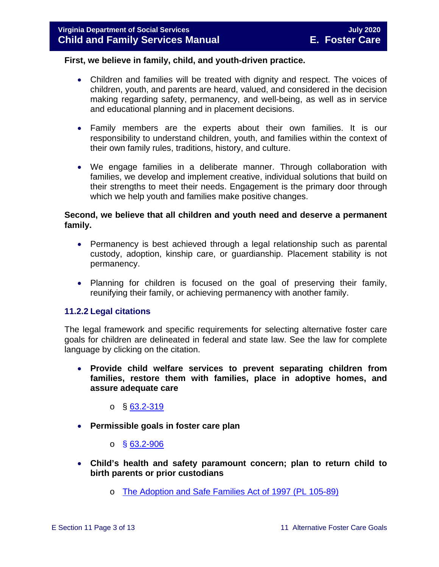#### **First, we believe in family, child, and youth-driven practice.**

- Children and families will be treated with dignity and respect. The voices of children, youth, and parents are heard, valued, and considered in the decision making regarding safety, permanency, and well-being, as well as in service and educational planning and in placement decisions.
- Family members are the experts about their own families. It is our responsibility to understand children, youth, and families within the context of their own family rules, traditions, history, and culture.
- We engage families in a deliberate manner. Through collaboration with families, we develop and implement creative, individual solutions that build on their strengths to meet their needs. Engagement is the primary door through which we help youth and families make positive changes.

#### **Second, we believe that all children and youth need and deserve a permanent family.**

- Permanency is best achieved through a legal relationship such as parental custody, adoption, kinship care, or guardianship. Placement stability is not permanency.
- Planning for children is focused on the goal of preserving their family, reunifying their family, or achieving permanency with another family.

#### <span id="page-2-0"></span>**11.2.2 Legal citations**

The legal framework and specific requirements for selecting alternative foster care goals for children are delineated in federal and state law. See the law for complete language by clicking on the citation.

• **Provide child welfare services to prevent separating children from families, restore them with families, place in adoptive homes, and assure adequate care**

 $\circ$  § [63.2-319](https://law.lis.virginia.gov/vacode/63.2-319/)

• **Permissible goals in foster care plan** 

 $\circ$  § [63.2-906](https://law.lis.virginia.gov/vacode/63.2-906/)

- **Child's health and safety paramount concern; plan to return child to birth parents or prior custodians**
	- o [The Adoption and Safe Families Act of 1997 \(PL 105-89\)](http://frwebgate.access.gpo.gov/cgi-bin/getdoc.cgi?dbname=105_cong_bills&docid=f:h867enr.txt.pdf)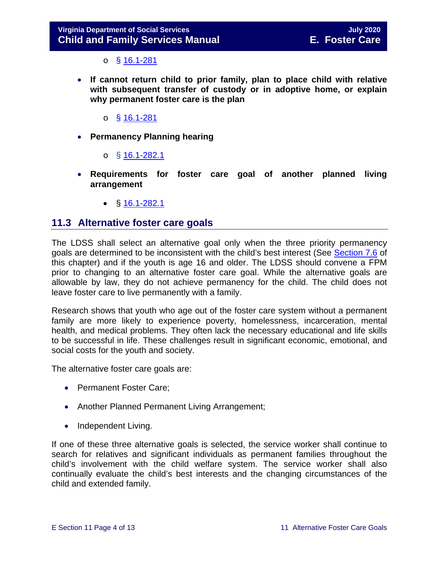$\circ$  § [16.1-281](https://law.lis.virginia.gov/vacode/16.1-281/)

- **If cannot return child to prior family, plan to place child with relative with subsequent transfer of custody or in adoptive home, or explain why permanent foster care is the plan** 
	- o § [16.1-281](https://law.lis.virginia.gov/vacode/16.1-281/)
- **Permanency Planning hearing**
	- o  $§$  [16.1-282.1](https://law.lis.virginia.gov/vacode/16.1-282.1/)
- **Requirements for foster care goal of another planned living arrangement** 
	- $$16.1-282.1$  $$16.1-282.1$

#### <span id="page-3-0"></span>**11.3 Alternative foster care goals**

The LDSS shall select an alternative goal only when the three priority permanency goals are determined to be inconsistent with the child's best interest (See [Section 7.6](https://fusion.dss.virginia.gov/Portals/%5bdfs%5d/Files/DFS%20Manuals/Foster%20Care%20Manuals/Foster%20Care%20Manual%2007-2020/Final%20Foster%20Care%20Manual%2007-2020/section_7_selecting_permanency_goals.pdf#page=12) of this chapter) and if the youth is age 16 and older. The LDSS should convene a FPM prior to changing to an alternative foster care goal. While the alternative goals are allowable by law, they do not achieve permanency for the child. The child does not leave foster care to live permanently with a family.

Research shows that youth who age out of the foster care system without a permanent family are more likely to experience poverty, homelessness, incarceration, mental health, and medical problems. They often lack the necessary educational and life skills to be successful in life. These challenges result in significant economic, emotional, and social costs for the youth and society.

The alternative foster care goals are:

- Permanent Foster Care;
- Another Planned Permanent Living Arrangement;
- Independent Living.

If one of these three alternative goals is selected, the service worker shall continue to search for relatives and significant individuals as permanent families throughout the child's involvement with the child welfare system. The service worker shall also continually evaluate the child's best interests and the changing circumstances of the child and extended family.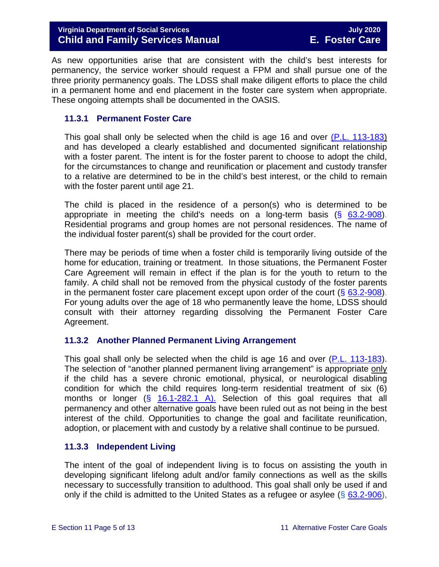As new opportunities arise that are consistent with the child's best interests for permanency, the service worker should request a FPM and shall pursue one of the three priority permanency goals. The LDSS shall make diligent efforts to place the child in a permanent home and end placement in the foster care system when appropriate. These ongoing attempts shall be documented in the OASIS.

#### <span id="page-4-0"></span>**11.3.1 Permanent Foster Care**

This goal shall only be selected when the child is age 16 and over [\(P.L. 113-183\)](https://www.congress.gov/113/plaws/publ183/PLAW-113publ183.pdf) and has developed a clearly established and documented significant relationship with a foster parent. The intent is for the foster parent to choose to adopt the child, for the circumstances to change and reunification or placement and custody transfer to a relative are determined to be in the child's best interest, or the child to remain with the foster parent until age 21.

The child is placed in the residence of a person(s) who is determined to be appropriate in meeting the child's needs on a long-term basis  $(8, 63.2-908)$  $(8, 63.2-908)$ . Residential programs and group homes are not personal residences. The name of the individual foster parent(s) shall be provided for the court order.

There may be periods of time when a foster child is temporarily living outside of the home for education, training or treatment. In those situations, the Permanent Foster Care Agreement will remain in effect if the plan is for the youth to return to the family. A child shall not be removed from the physical custody of the foster parents in the permanent foster care placement except upon order of the court  $(\S$  [63.2-908\)](https://law.lis.virginia.gov/vacode/63.2-908/). For young adults over the age of 18 who permanently leave the home, LDSS should consult with their attorney regarding dissolving the Permanent Foster Care Agreement.

#### <span id="page-4-1"></span>**11.3.2 Another Planned Permanent Living Arrangement**

This goal shall only be selected when the child is age 16 and over [\(P.L. 113-183\)](https://www.congress.gov/113/plaws/publ183/PLAW-113publ183.pdf). The selection of "another planned permanent living arrangement" is appropriate only if the child has a severe chronic emotional, physical, or neurological disabling condition for which the child requires long-term residential treatment of six (6) months or longer  $(\S$  [16.1-282.1 A\).](https://law.lis.virginia.gov/vacode/16.1-282.1/) Selection of this goal requires that all permanency and other alternative goals have been ruled out as not being in the best interest of the child. Opportunities to change the goal and facilitate reunification, adoption, or placement with and custody by a relative shall continue to be pursued.

#### <span id="page-4-2"></span>**11.3.3 Independent Living**

The intent of the goal of independent living is to focus on assisting the youth in developing significant lifelong adult and/or family connections as well as the skills necessary to successfully transition to adulthood. This goal shall only be used if and only if the child is admitted to the United States as a refugee or asylee ( $\S$  [63.2-906\)](https://law.lis.virginia.gov/vacode/title63.2/chapter9/section63.2-906/),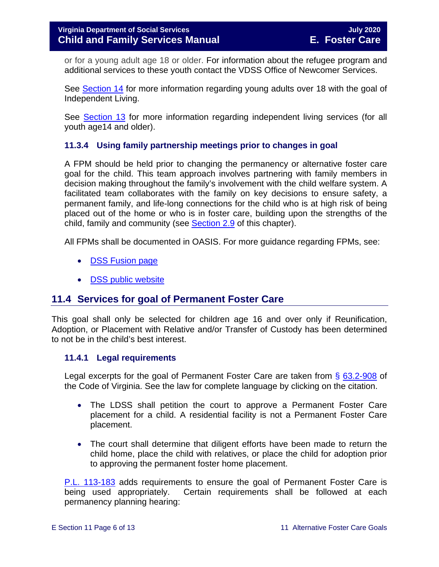or for a young adult age 18 or older. For information about the refugee program and additional services to these youth contact the VDSS Office of Newcomer Services.

See [Section 14](https://fusion.dss.virginia.gov/Portals/%5bdfs%5d/Files/DFS%20Manuals/Foster%20Care%20Manuals/Foster%20Care%20Manual%2007-2020/Final%20Foster%20Care%20Manual%2007-2020/Section_14_Fostering_Futures.pdf) for more information regarding young adults over 18 with the goal of Independent Living.

See **Section 13** for more information regarding independent living services (for all youth age14 and older).

#### <span id="page-5-0"></span>**11.3.4 Using family partnership meetings prior to changes in goal**

A FPM should be held prior to changing the permanency or alternative foster care goal for the child. This team approach involves partnering with family members in decision making throughout the family's involvement with the child welfare system. A facilitated team collaborates with the family on key decisions to ensure safety, a permanent family, and life-long connections for the child who is at high risk of being placed out of the home or who is in foster care, building upon the strengths of the child, family and community (see [Section 2.9](https://fusion.dss.virginia.gov/Portals/%5bdfs%5d/Files/DFS%20Manuals/Foster%20Care%20Manuals/Foster%20Care%20Manual%2007-2020/Final%20Foster%20Care%20Manual%2007-2020/section_2_engaging_the_child_family_and_significant_adults.pdf#page=19) of this chapter).

All FPMs shall be documented in OASIS. For more guidance regarding FPMs, see:

- **[DSS Fusion](https://fusion.dss.virginia.gov/dfs/DFS-Home/Family-Engagement) page**
- [DSS public website](http://www.dss.virginia.gov/family/fe.cgi)

#### <span id="page-5-1"></span>**11.4 Services for goal of Permanent Foster Care**

This goal shall only be selected for children age 16 and over only if Reunification, Adoption, or Placement with Relative and/or Transfer of Custody has been determined to not be in the child's best interest.

#### <span id="page-5-2"></span>**11.4.1 Legal requirements**

Legal excerpts for the goal of Permanent Foster Care are taken from § [63.2-908](https://law.lis.virginia.gov/vacode/63.2-908/) of the Code of Virginia. See the law for complete language by clicking on the citation.

- The LDSS shall petition the court to approve a Permanent Foster Care placement for a child. A residential facility is not a Permanent Foster Care placement.
- The court shall determine that diligent efforts have been made to return the child home, place the child with relatives, or place the child for adoption prior to approving the permanent foster home placement.

[P.L. 113-183](https://www.congress.gov/113/plaws/publ183/PLAW-113publ183.pdf) adds requirements to ensure the goal of Permanent Foster Care is being used appropriately. Certain requirements shall be followed at each permanency planning hearing: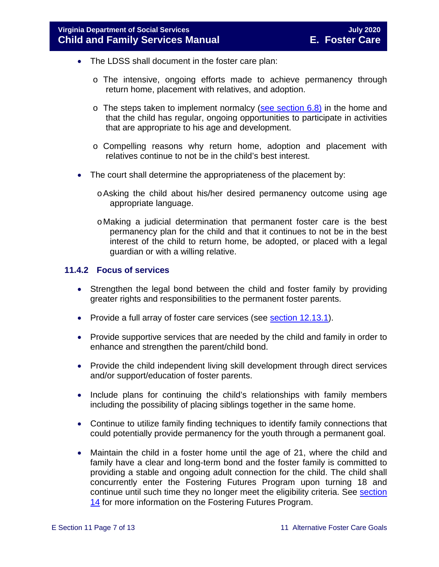- The LDSS shall document in the foster care plan:
	- o The intensive, ongoing efforts made to achieve permanency through return home, placement with relatives, and adoption.
	- $\circ$  The steps taken to implement normalcy [\(see section 6.8\)](https://fusion.dss.virginia.gov/Portals/%5bdfs%5d/Files/DFS%20Manuals/Foster%20Care%20Manuals/Foster%20Care%20Manual%2007-2020/Final%20Foster%20Care%20Manual%2007-2020/section_6_placement_to_achieve_permanency.pdf#page=26) in the home and that the child has regular, ongoing opportunities to participate in activities that are appropriate to his age and development.
	- o Compelling reasons why return home, adoption and placement with relatives continue to not be in the child's best interest.
- The court shall determine the appropriateness of the placement by:
	- oAsking the child about his/her desired permanency outcome using age appropriate language.
	- oMaking a judicial determination that permanent foster care is the best permanency plan for the child and that it continues to not be in the best interest of the child to return home, be adopted, or placed with a legal guardian or with a willing relative.

#### <span id="page-6-0"></span>**11.4.2 Focus of services**

- Strengthen the legal bond between the child and foster family by providing greater rights and responsibilities to the permanent foster parents.
- Provide a full array of foster care services (see **section 12.13.1**).
- Provide supportive services that are needed by the child and family in order to enhance and strengthen the parent/child bond.
- Provide the child independent living skill development through direct services and/or support/education of foster parents.
- Include plans for continuing the child's relationships with family members including the possibility of placing siblings together in the same home.
- Continue to utilize family finding techniques to identify family connections that could potentially provide permanency for the youth through a permanent goal.
- Maintain the child in a foster home until the age of 21, where the child and family have a clear and long-term bond and the foster family is committed to providing a stable and ongoing adult connection for the child. The child shall concurrently enter the Fostering Futures Program upon turning 18 and continue until such time they no longer meet the eligibility criteria. See [section](https://fusion.dss.virginia.gov/Portals/%5bdfs%5d/Files/DFS%20Manuals/Foster%20Care%20Manuals/Foster%20Care%20Manual%2007-2020/Final%20Foster%20Care%20Manual%2007-2020/Section_14_Fostering_Futures.pdf)  [14](https://fusion.dss.virginia.gov/Portals/%5bdfs%5d/Files/DFS%20Manuals/Foster%20Care%20Manuals/Foster%20Care%20Manual%2007-2020/Final%20Foster%20Care%20Manual%2007-2020/Section_14_Fostering_Futures.pdf) for more information on the Fostering Futures Program.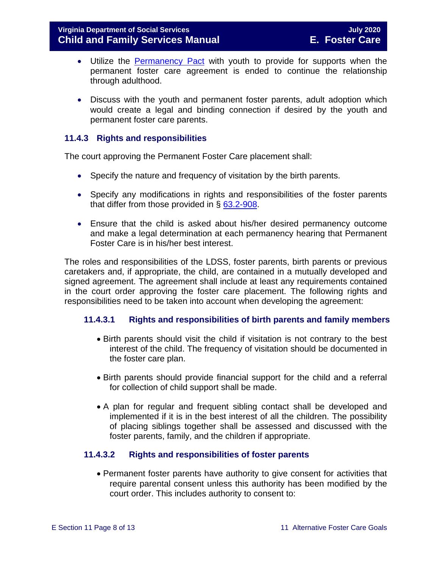- Utilize the [Permanency Pact](http://www.fosterclub.com/_transition/article/permanency-pact) with youth to provide for supports when the permanent foster care agreement is ended to continue the relationship through adulthood.
- Discuss with the youth and permanent foster parents, adult adoption which would create a legal and binding connection if desired by the youth and permanent foster care parents.

#### <span id="page-7-0"></span>**11.4.3 Rights and responsibilities**

The court approving the Permanent Foster Care placement shall:

- Specify the nature and frequency of visitation by the birth parents.
- Specify any modifications in rights and responsibilities of the foster parents that differ from those provided in § [63.2-908.](https://law.lis.virginia.gov/vacode/63.2-908/)
- Ensure that the child is asked about his/her desired permanency outcome and make a legal determination at each permanency hearing that Permanent Foster Care is in his/her best interest.

The roles and responsibilities of the LDSS, foster parents, birth parents or previous caretakers and, if appropriate, the child, are contained in a mutually developed and signed agreement. The agreement shall include at least any requirements contained in the court order approving the foster care placement. The following rights and responsibilities need to be taken into account when developing the agreement:

#### **11.4.3.1 Rights and responsibilities of birth parents and family members**

- Birth parents should visit the child if visitation is not contrary to the best interest of the child. The frequency of visitation should be documented in the foster care plan.
- Birth parents should provide financial support for the child and a referral for collection of child support shall be made.
- A plan for regular and frequent sibling contact shall be developed and implemented if it is in the best interest of all the children. The possibility of placing siblings together shall be assessed and discussed with the foster parents, family, and the children if appropriate.

#### **11.4.3.2 Rights and responsibilities of foster parents**

• Permanent foster parents have authority to give consent for activities that require parental consent unless this authority has been modified by the court order. This includes authority to consent to: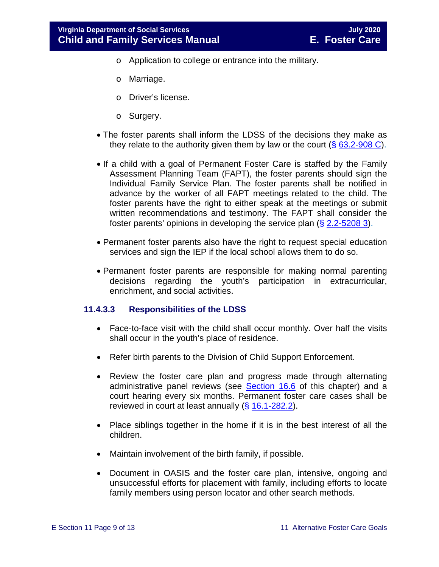- o Application to college or entrance into the military.
- o Marriage.
- o Driver's license.
- o Surgery.
- The foster parents shall inform the LDSS of the decisions they make as they relate to the authority given them by law or the court  $(\S$  [63.2-908 C\)](https://law.lis.virginia.gov/vacode/63.2-908/).
- If a child with a goal of Permanent Foster Care is staffed by the Family Assessment Planning Team (FAPT), the foster parents should sign the Individual Family Service Plan. The foster parents shall be notified in advance by the worker of all FAPT meetings related to the child. The foster parents have the right to either speak at the meetings or submit written recommendations and testimony. The FAPT shall consider the foster parents' opinions in developing the service plan  $(\S 2.2 - 5208 3)$ .
- Permanent foster parents also have the right to request special education services and sign the IEP if the local school allows them to do so.
- Permanent foster parents are responsible for making normal parenting decisions regarding the youth's participation in extracurricular, enrichment, and social activities.

#### **11.4.3.3 Responsibilities of the LDSS**

- Face-to-face visit with the child shall occur monthly. Over half the visits shall occur in the youth's place of residence.
- Refer birth parents to the Division of Child Support Enforcement.
- Review the foster care plan and progress made through alternating administrative panel reviews (see [Section 16.6](https://fusion.dss.virginia.gov/Portals/%5bdfs%5d/Files/DFS%20Manuals/Foster%20Care%20Manuals/Foster%20Care%20Manual%2007-2020/Final%20Foster%20Care%20Manual%2007-2020/section_16_judicial_hearings_and_mandated_foster_care_reviews.pdf#page=20) of this chapter) and a court hearing every six months. Permanent foster care cases shall be reviewed in court at least annually  $(§ 16.1-282.2)$  $(§ 16.1-282.2)$ .
- Place siblings together in the home if it is in the best interest of all the children.
- Maintain involvement of the birth family, if possible.
- Document in OASIS and the foster care plan, intensive, ongoing and unsuccessful efforts for placement with family, including efforts to locate family members using person locator and other search methods.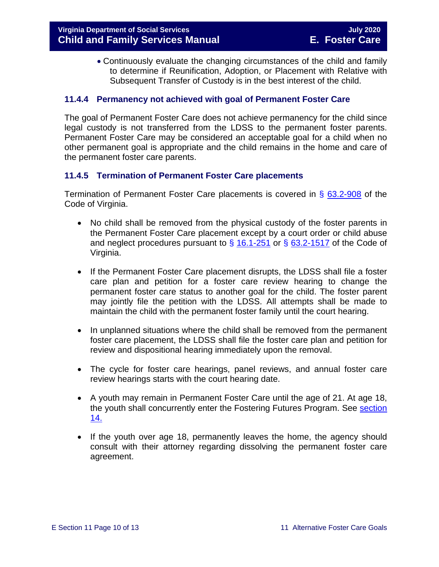• Continuously evaluate the changing circumstances of the child and family to determine if Reunification, Adoption, or Placement with Relative with Subsequent Transfer of Custody is in the best interest of the child.

#### <span id="page-9-0"></span>**11.4.4 Permanency not achieved with goal of Permanent Foster Care**

The goal of Permanent Foster Care does not achieve permanency for the child since legal custody is not transferred from the LDSS to the permanent foster parents. Permanent Foster Care may be considered an acceptable goal for a child when no other permanent goal is appropriate and the child remains in the home and care of the permanent foster care parents.

#### <span id="page-9-1"></span>**11.4.5 Termination of Permanent Foster Care placements**

Termination of Permanent Foster Care placements is covered in § [63.2-908](https://law.lis.virginia.gov/vacode/63.2-908/) of the Code of Virginia.

- No child shall be removed from the physical custody of the foster parents in the Permanent Foster Care placement except by a court order or child abuse and neglect procedures pursuant to  $\S$  [16.1-251](https://law.lis.virginia.gov/vacode/16.1-251/) or  $\S$  [63.2-1517](https://law.lis.virginia.gov/vacode/63.2-1517/) of the Code of Virginia.
- If the Permanent Foster Care placement disrupts, the LDSS shall file a foster care plan and petition for a foster care review hearing to change the permanent foster care status to another goal for the child. The foster parent may jointly file the petition with the LDSS. All attempts shall be made to maintain the child with the permanent foster family until the court hearing.
- In unplanned situations where the child shall be removed from the permanent foster care placement, the LDSS shall file the foster care plan and petition for review and dispositional hearing immediately upon the removal.
- The cycle for foster care hearings, panel reviews, and annual foster care review hearings starts with the court hearing date.
- A youth may remain in Permanent Foster Care until the age of 21. At age 18, the youth shall concurrently enter the Fostering Futures Program. See [section](https://fusion.dss.virginia.gov/Portals/%5bdfs%5d/Files/DFS%20Manuals/Foster%20Care%20Manuals/Foster%20Care%20Manual%2007-2020/Final%20Foster%20Care%20Manual%2007-2020/Section_14_Fostering_Futures.pdf)  [14.](https://fusion.dss.virginia.gov/Portals/%5bdfs%5d/Files/DFS%20Manuals/Foster%20Care%20Manuals/Foster%20Care%20Manual%2007-2020/Final%20Foster%20Care%20Manual%2007-2020/Section_14_Fostering_Futures.pdf)
- If the youth over age 18, permanently leaves the home, the agency should consult with their attorney regarding dissolving the permanent foster care agreement.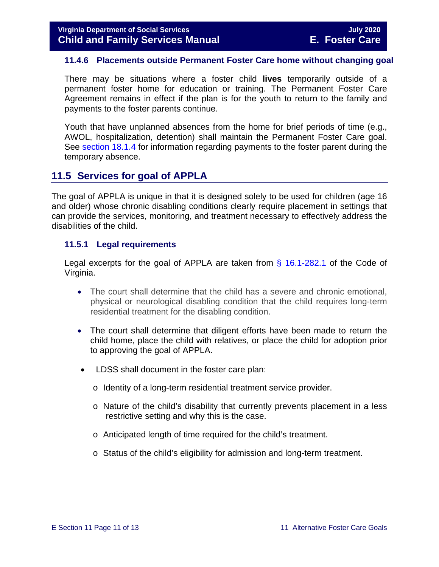#### <span id="page-10-0"></span>**11.4.6 Placements outside Permanent Foster Care home without changing goal**

There may be situations where a foster child **lives** temporarily outside of a permanent foster home for education or training. The Permanent Foster Care Agreement remains in effect if the plan is for the youth to return to the family and payments to the foster parents continue.

Youth that have unplanned absences from the home for brief periods of time (e.g., AWOL, hospitalization, detention) shall maintain the Permanent Foster Care goal. See [section 18.1.4](https://fusion.dss.virginia.gov/Portals/%5bdfs%5d/Files/DFS%20Manuals/Foster%20Care%20Manuals/Foster%20Care%20Manual%2007-2020/Final%20Foster%20Care%20Manual%2007-2020/section_18_funding_maintenance_costs.pdf#page=4) for information regarding payments to the foster parent during the temporary absence.

#### <span id="page-10-1"></span>**11.5 Services for goal of APPLA**

The goal of APPLA is unique in that it is designed solely to be used for children (age 16 and older) whose chronic disabling conditions clearly require placement in settings that can provide the services, monitoring, and treatment necessary to effectively address the disabilities of the child.

#### <span id="page-10-2"></span>**11.5.1 Legal requirements**

Legal excerpts for the goal of APPLA are taken from  $\S$  [16.1-282.1](https://law.lis.virginia.gov/vacode/16.1-282.1/) of the Code of Virginia.

- The court shall determine that the child has a severe and chronic emotional, physical or neurological disabling condition that the child requires long-term residential treatment for the disabling condition.
- The court shall determine that diligent efforts have been made to return the child home, place the child with relatives, or place the child for adoption prior to approving the goal of APPLA.
- LDSS shall document in the foster care plan:
	- o Identity of a long-term residential treatment service provider.
	- o Nature of the child's disability that currently prevents placement in a less restrictive setting and why this is the case.
	- o Anticipated length of time required for the child's treatment.
	- o Status of the child's eligibility for admission and long-term treatment.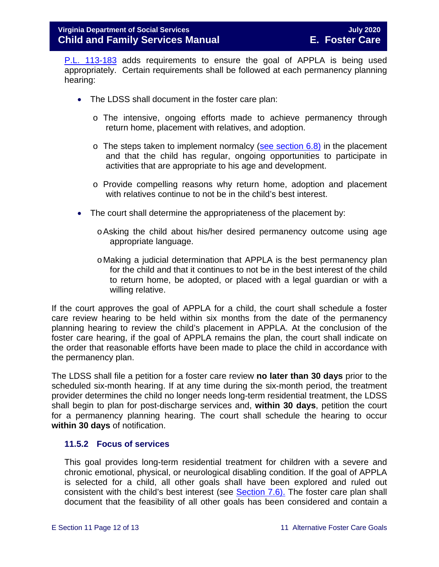[P.L. 113-183](https://www.congress.gov/113/plaws/publ183/PLAW-113publ183.pdf) adds requirements to ensure the goal of APPLA is being used appropriately. Certain requirements shall be followed at each permanency planning hearing:

- The LDSS shall document in the foster care plan:
	- o The intensive, ongoing efforts made to achieve permanency through return home, placement with relatives, and adoption.
	- $\circ$  The steps taken to implement normalcy [\(see section 6.8\)](https://fusion.dss.virginia.gov/Portals/%5bdfs%5d/Files/DFS%20Manuals/Foster%20Care%20Manuals/Foster%20Care%20Manual%2007-2020/Final%20Foster%20Care%20Manual%2007-2020/section_6_placement_to_achieve_permanency.pdf#page=26) in the placement and that the child has regular, ongoing opportunities to participate in activities that are appropriate to his age and development.
	- o Provide compelling reasons why return home, adoption and placement with relatives continue to not be in the child's best interest.
- The court shall determine the appropriateness of the placement by:
	- oAsking the child about his/her desired permanency outcome using age appropriate language.
	- oMaking a judicial determination that APPLA is the best permanency plan for the child and that it continues to not be in the best interest of the child to return home, be adopted, or placed with a legal guardian or with a willing relative.

If the court approves the goal of APPLA for a child, the court shall schedule a foster care review hearing to be held within six months from the date of the permanency planning hearing to review the child's placement in APPLA. At the conclusion of the foster care hearing, if the goal of APPLA remains the plan, the court shall indicate on the order that reasonable efforts have been made to place the child in accordance with the permanency plan.

The LDSS shall file a petition for a foster care review **no later than 30 days** prior to the scheduled six-month hearing. If at any time during the six-month period, the treatment provider determines the child no longer needs long-term residential treatment, the LDSS shall begin to plan for post-discharge services and, **within 30 days**, petition the court for a permanency planning hearing. The court shall schedule the hearing to occur **within 30 days** of notification.

#### <span id="page-11-0"></span>**11.5.2 Focus of services**

This goal provides long-term residential treatment for children with a severe and chronic emotional, physical, or neurological disabling condition. If the goal of APPLA is selected for a child, all other goals shall have been explored and ruled out consistent with the child's best interest (see **Section 7.6)**. The foster care plan shall document that the feasibility of all other goals has been considered and contain a